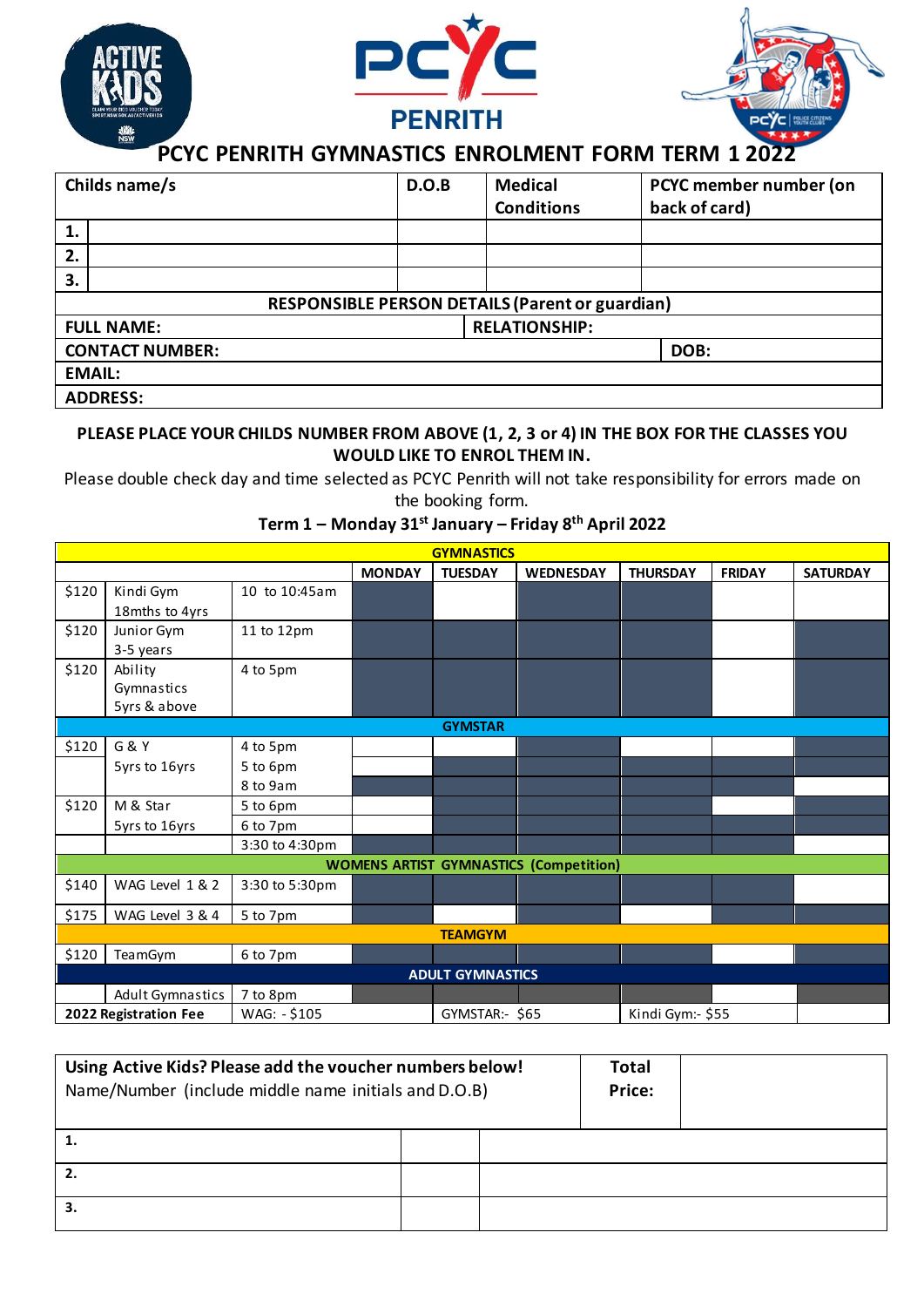

| Childs name/s          |                                                 | D.O.B | <b>Medical</b> | PCYC member number (on |               |  |  |
|------------------------|-------------------------------------------------|-------|----------------|------------------------|---------------|--|--|
|                        |                                                 |       |                | <b>Conditions</b>      | back of card) |  |  |
| 1.                     |                                                 |       |                |                        |               |  |  |
| 2.                     |                                                 |       |                |                        |               |  |  |
| 3.                     |                                                 |       |                |                        |               |  |  |
|                        | RESPONSIBLE PERSON DETAILS (Parent or guardian) |       |                |                        |               |  |  |
| <b>FULL NAME:</b>      |                                                 |       |                | <b>RELATIONSHIP:</b>   |               |  |  |
| <b>CONTACT NUMBER:</b> |                                                 |       |                | DOB:                   |               |  |  |
| <b>EMAIL:</b>          |                                                 |       |                |                        |               |  |  |
| <b>ADDRESS:</b>        |                                                 |       |                |                        |               |  |  |

## **PLEASE PLACE YOUR CHILDS NUMBER FROM ABOVE (1, 2, 3 or 4) IN THE BOX FOR THE CLASSES YOU WOULD LIKE TO ENROL THEM IN.**

Please double check day and time selected as PCYC Penrith will not take responsibility for errors made on the booking form.

**GYMNASTICS MONDAY TUESDAY WEDNESDAY THURSDAY FRIDAY SATURDAY** \$120 Kindi Gym 18mths to 4yrs 10 to 10:45am \$120 Junior Gym 3-5 years 11 to 12pm \$120 Ability Gymnastics 5yrs & above 4 to 5pm **GYMSTAR**  $$120$  G & Y 4 to 5pm  $5yrs$  to  $16yrs$  5 to  $6pm$ 8 to 9am  $$120$  M & Star 5 to 6pm 5yrs to 16yrs 6 to 7pm 3:30 to 4:30pm **WOMENS ARTIST GYMNASTICS (Competition)** \$140 | WAG Level 1 & 2 | 3:30 to 5:30pm  $$175$  WAG Level 3 & 4 5 to 7pm **TEAMGYM**  $$120$  TeamGym 6 to 7pm **ADULT GYMNASTICS** Adult Gymnastics 7 to 8pm **2022 Registration Fee** WAG: - \$105 GYMSTAR:- \$65 Kindi Gym:- \$55

# **Term 1 – Monday 31st January – Friday 8th April 2022**

| Using Active Kids? Please add the voucher numbers below!<br>Name/Number (include middle name initials and D.O.B) | <b>Total</b><br>Price: |  |  |
|------------------------------------------------------------------------------------------------------------------|------------------------|--|--|
|                                                                                                                  |                        |  |  |
|                                                                                                                  |                        |  |  |
|                                                                                                                  |                        |  |  |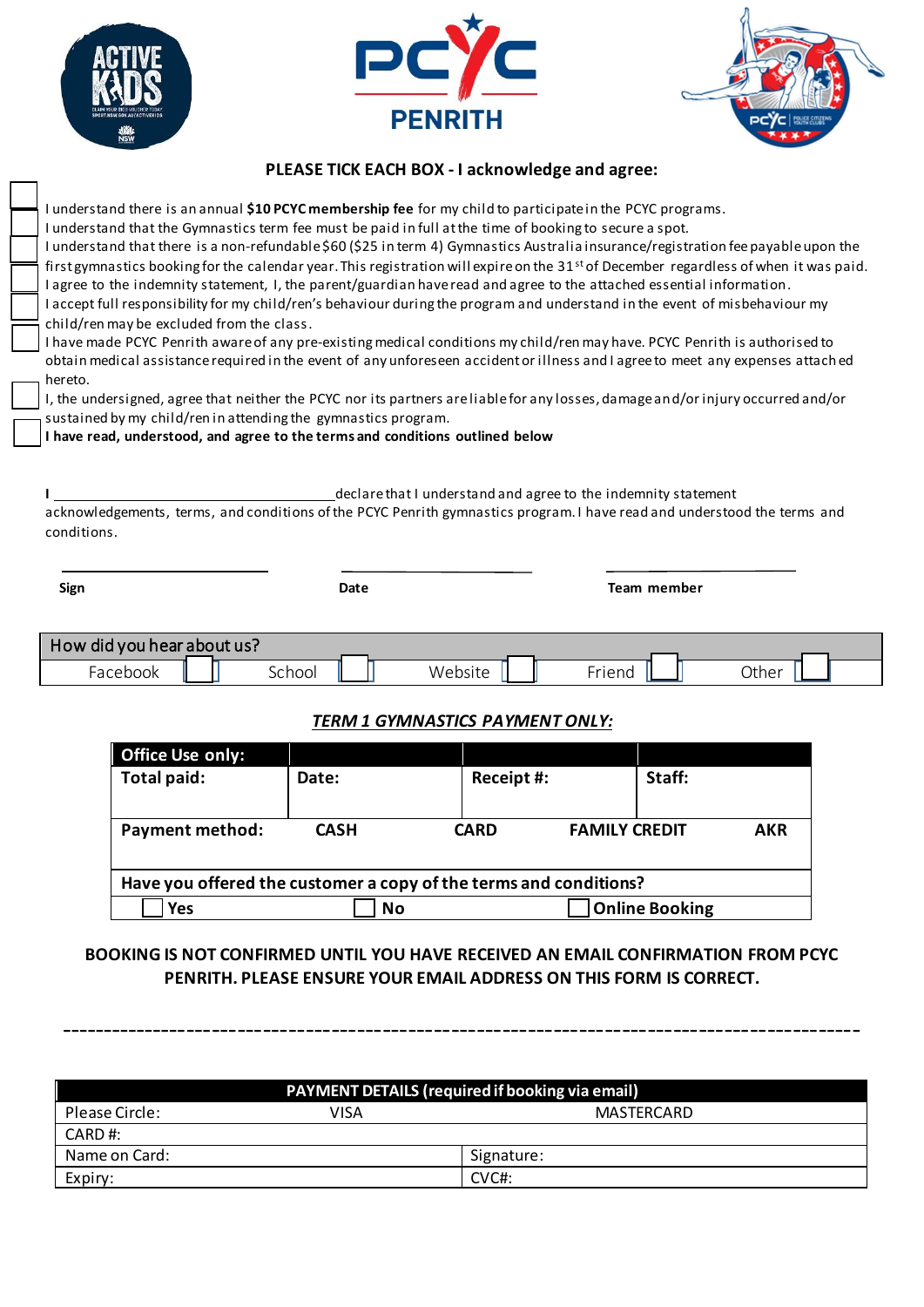





### **PLEASE TICK EACH BOX - I acknowledge and agree:**

I understand there is an annual **\$10 PCYC membership fee** for my child to participate in the PCYC programs. I understand that the Gymnastics term fee must be paid in full at the time of booking to secure a spot. I understand that there is a non-refundable \$60 (\$25 in term 4) Gymnastics Australia insurance/registration fee payable upon the first gymnastics booking for the calendar year. This registration will expire on the  $31<sup>st</sup>$  of December regardless of when it was paid. I agree to the indemnity statement, I, the parent/guardian have read and agree to the attached essential information. I accept full responsibility for my child/ren's behaviour during the program and understand in the event of misbehaviour my child/ren may be excluded from the class. I have made PCYC Penrith aware of any pre-existing medical conditions my child/ren may have. PCYC Penrith is authorised to

obtain medical assistance required in the event of any unforeseen accident or illness and I agree to meet any expenses attach ed hereto.

I, the undersigned, agree that neither the PCYC nor its partners are liable for any losses, damage and/or injury occurred and/or sustained by my child/ren in attending the gymnastics program.

**I have read, understood, and agree to the terms and conditions outlined below**

**I** declare that I understand and agree to the indemnity statement

acknowledgements, terms, and conditions of the PCYC Penrith gymnastics program. I have read and understood the terms and conditions.

| Sign                       | Date   |         |        | Team member |  |  |
|----------------------------|--------|---------|--------|-------------|--|--|
| How did you hear about us? |        |         |        |             |  |  |
| Facebook                   | School | Website | Friend | Other       |  |  |

# *TERM 1 GYMNASTICS PAYMENT ONLY:*

| <b>Office Use only:</b>                                           |             |             |                                    |  |  |  |
|-------------------------------------------------------------------|-------------|-------------|------------------------------------|--|--|--|
| Total paid:                                                       | Date:       | Receipt #:  | Staff:                             |  |  |  |
|                                                                   |             |             |                                    |  |  |  |
| <b>Payment method:</b>                                            | <b>CASH</b> | <b>CARD</b> | <b>FAMILY CREDIT</b><br><b>AKR</b> |  |  |  |
|                                                                   |             |             |                                    |  |  |  |
| Have you offered the customer a copy of the terms and conditions? |             |             |                                    |  |  |  |
| Yes                                                               | No          |             | <b>Online Booking</b>              |  |  |  |

# **BOOKING IS NOT CONFIRMED UNTIL YOU HAVE RECEIVED AN EMAIL CONFIRMATION FROM PCYC PENRITH. PLEASE ENSURE YOUR EMAIL ADDRESS ON THIS FORM IS CORRECT.**

----------------------------------------------------------------------------------------------

| <b>PAYMENT DETAILS (required if booking via email)</b> |      |            |  |  |  |
|--------------------------------------------------------|------|------------|--|--|--|
| Please Circle:                                         | VISA | MASTERCARD |  |  |  |
| CARD#:                                                 |      |            |  |  |  |
| Name on Card:                                          |      | Signature: |  |  |  |
| Expiry:                                                |      | CVC#:      |  |  |  |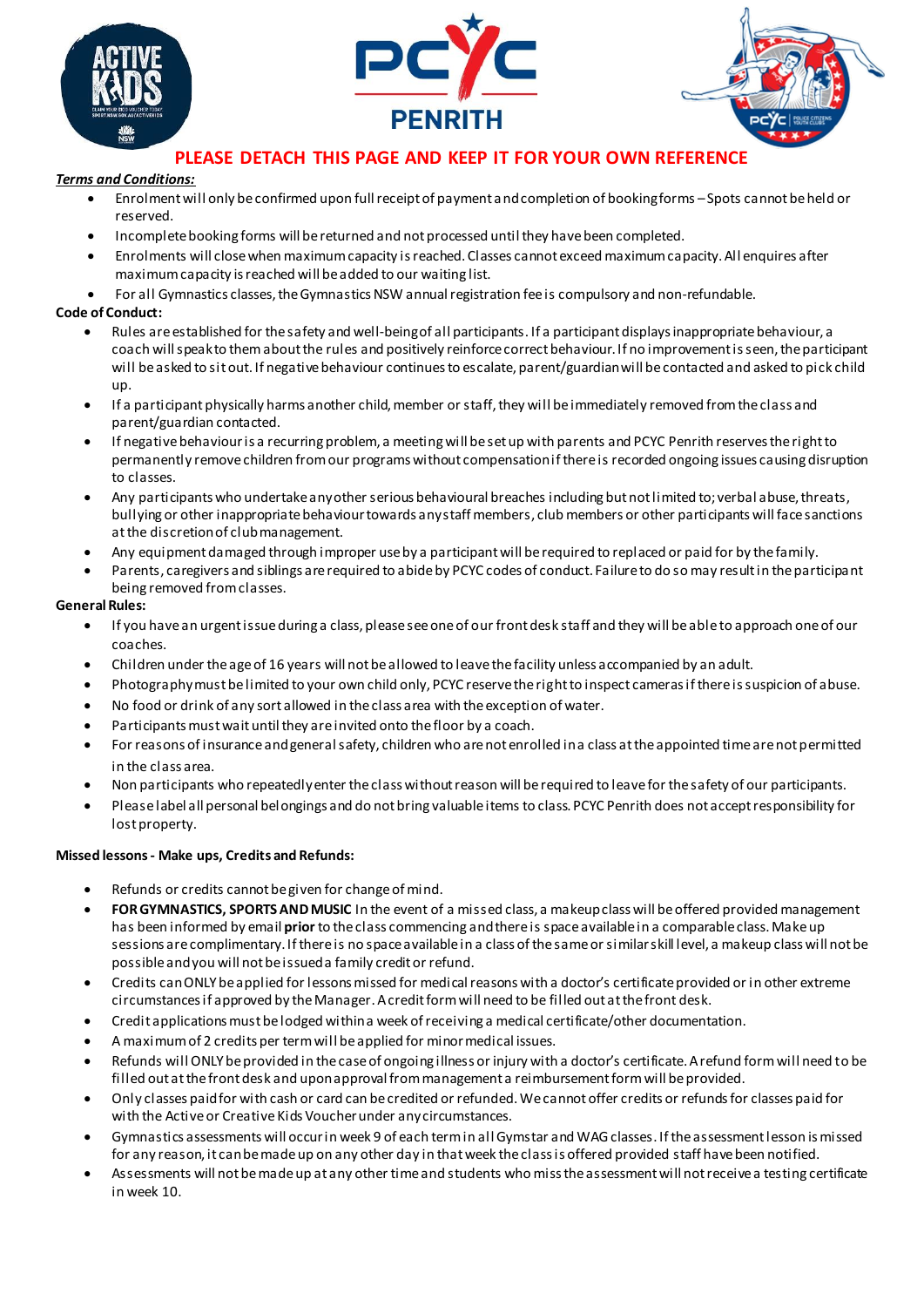





# **PLEASE DETACH THIS PAGE AND KEEP IT FOR YOUR OWN REFERENCE**

#### *Terms and Conditions:*

- Enrolment will only be confirmed upon full receipt of payment and completion of booking forms –Spots cannot be held or reserved.
- Incomplete booking forms will be returned and not processed until they have been completed.
- Enrolments will close when maximum capacity is reached. Classes cannot exceed maximum capacity. All enquires after maximum capacity is reached will be added to our waiting list.
- For all Gymnastics classes, the Gymnastics NSW annual registration fee is compulsory and non-refundable.

#### **Code of Conduct:**

- Rules are established for the safety and well-being of all participants. If a participant displays inappropriate behaviour, a coach will speak to them about the rules and positively reinforce correct behaviour. If no improvement is seen, the participant will be asked to sit out. If negative behaviour continues to escalate, parent/guardian will be contacted and asked to pick child up.
- If a participant physically harms another child, member or staff, they will be immediately removed from the class and parent/guardian contacted.
- If negative behaviour is a recurring problem, a meeting will be set up with parents and PCYC Penrith reserves the right to permanently remove children from our programs without compensation if there is recorded ongoing issues causing disruption to classes.
- Any participants who undertake any other serious behavioural breaches including but not limited to; verbal abuse, threats, bullying or other inappropriate behaviour towards any staff members, club members or other participants will face sanctions at the discretion of club management.
- Any equipment damaged through improper use by a participant will be required to replaced or paid for by the family.
- Parents, caregivers and siblings are required to abide by PCYC codes of conduct. Failure to do so may result in the participant being removed from classes.

#### **General Rules:**

- If you have an urgent issue during a class, please see one of our front desk staff and they will be able to approach one of our coaches.
- Children under the age of 16 years will not be allowed to leave the facility unless accompanied by an adult.
- Photography must be limited to your own child only, PCYC reserve the right to inspect cameras if there is suspicion of abuse.
- No food or drink of any sort allowed in the class area with the exception of water.
- Participants must wait until they are invited onto the floor by a coach.
- For reasons of insurance and general safety, children who are not enrolled in a class at the appointed time are not permitted in the class area.
- Non participants who repeatedly enter the class without reason will be required to leave for the safety of our participants.
- Please label all personal belongings and do not bring valuable items to class. PCYC Penrith does not accept responsibility for lost property.

#### **Missed lessons - Make ups, Credits and Refunds:**

- Refunds or credits cannot be given for change of mind.
- **FOR GYMNASTICS, SPORTS AND MUSIC** In the event of a missed class, a makeup class will be offered provided management has been informed by email **prior** to the class commencing and there is space available in a comparable class. Make up sessions are complimentary. If there is no space available in a class of the same or similar skill level, a makeup class will not be possible and you will not be issued a family credit or refund.
- Credits can ONLY be applied for lessons missed for medical reasons with a doctor's certificate provided or in other extreme circumstances if approved by the Manager. A credit form will need to be filled out at the front desk.
- Credit applications must be lodged within a week of receiving a medical certificate/other documentation.
- A maximum of 2 credits per term will be applied for minor medical issues.
- Refunds will ONLY be provided in the case of ongoing illness or injury with a doctor's certificate. A refund form will need to be filled out at the front desk and upon approval from management a reimbursement form will be provided.
- Only classes paid for with cash or card can be credited or refunded. We cannot offer credits or refunds for classes paid for with the Active or Creative Kids Voucher under any circumstances.
- Gymnastics assessments will occur in week 9 of each term in all Gymstar and WAG classes. If the assessment lesson is missed for any reason, it can be made up on any other day in that week the class is offered provided staff have been notified.
- Assessments will not be made up at any other time and students who miss the assessment will not receive a testing certificate in week 10.